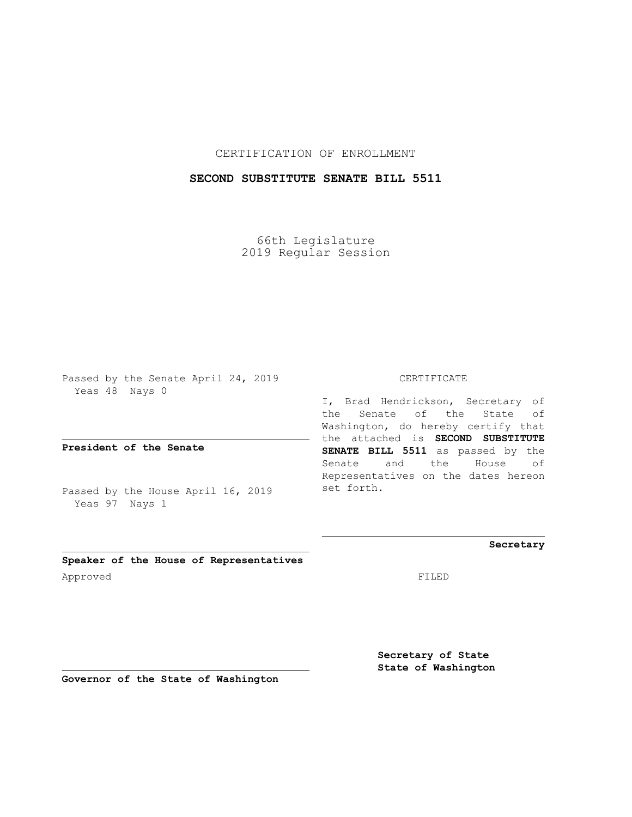# CERTIFICATION OF ENROLLMENT

## **SECOND SUBSTITUTE SENATE BILL 5511**

66th Legislature 2019 Regular Session

Passed by the Senate April 24, 2019 Yeas 48 Nays 0

**President of the Senate**

Passed by the House April 16, 2019 Yeas 97 Nays 1

#### CERTIFICATE

I, Brad Hendrickson, Secretary of the Senate of the State of Washington, do hereby certify that the attached is **SECOND SUBSTITUTE SENATE BILL 5511** as passed by the Senate and the House of Representatives on the dates hereon set forth.

**Secretary**

**Speaker of the House of Representatives** Approved FILED

**Secretary of State State of Washington**

**Governor of the State of Washington**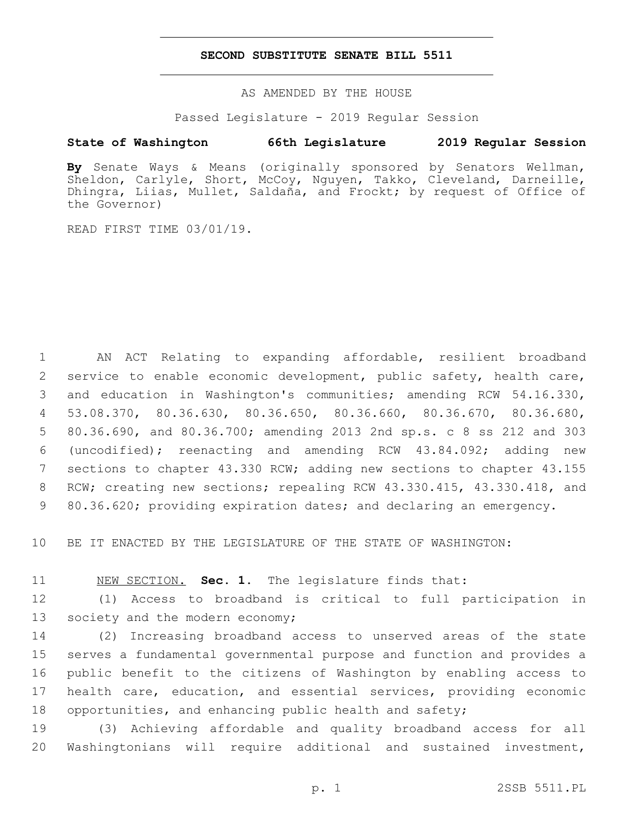#### **SECOND SUBSTITUTE SENATE BILL 5511**

AS AMENDED BY THE HOUSE

Passed Legislature - 2019 Regular Session

### **State of Washington 66th Legislature 2019 Regular Session**

**By** Senate Ways & Means (originally sponsored by Senators Wellman, Sheldon, Carlyle, Short, McCoy, Nguyen, Takko, Cleveland, Darneille, Dhingra, Liias, Mullet, Saldaña, and Frockt; by request of Office of the Governor)

READ FIRST TIME 03/01/19.

 AN ACT Relating to expanding affordable, resilient broadband service to enable economic development, public safety, health care, and education in Washington's communities; amending RCW 54.16.330, 53.08.370, 80.36.630, 80.36.650, 80.36.660, 80.36.670, 80.36.680, 80.36.690, and 80.36.700; amending 2013 2nd sp.s. c 8 ss 212 and 303 (uncodified); reenacting and amending RCW 43.84.092; adding new sections to chapter 43.330 RCW; adding new sections to chapter 43.155 RCW; creating new sections; repealing RCW 43.330.415, 43.330.418, and 80.36.620; providing expiration dates; and declaring an emergency.

BE IT ENACTED BY THE LEGISLATURE OF THE STATE OF WASHINGTON:

NEW SECTION. **Sec. 1.** The legislature finds that:

 (1) Access to broadband is critical to full participation in 13 society and the modern economy;

 (2) Increasing broadband access to unserved areas of the state serves a fundamental governmental purpose and function and provides a public benefit to the citizens of Washington by enabling access to health care, education, and essential services, providing economic opportunities, and enhancing public health and safety;

 (3) Achieving affordable and quality broadband access for all Washingtonians will require additional and sustained investment,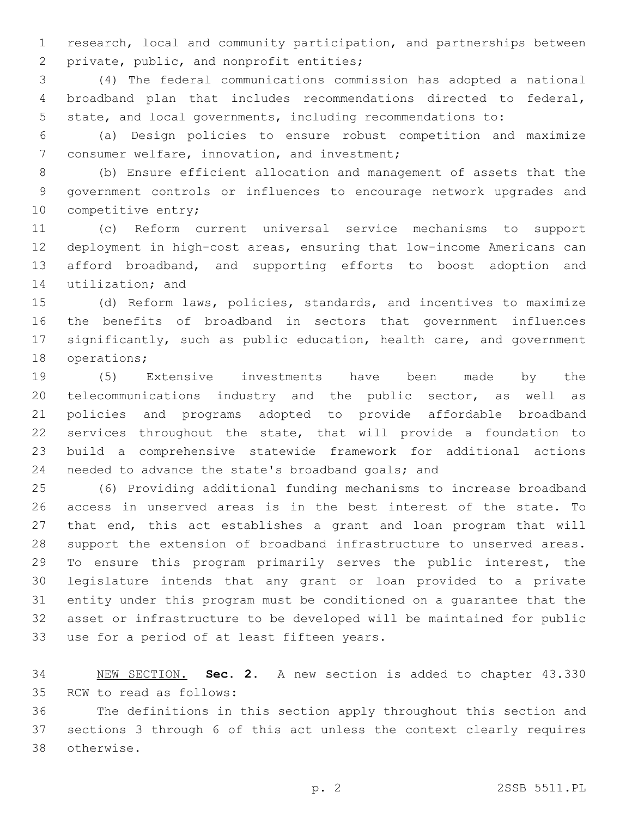research, local and community participation, and partnerships between 2 private, public, and nonprofit entities;

 (4) The federal communications commission has adopted a national broadband plan that includes recommendations directed to federal, state, and local governments, including recommendations to:

 (a) Design policies to ensure robust competition and maximize 7 consumer welfare, innovation, and investment;

 (b) Ensure efficient allocation and management of assets that the government controls or influences to encourage network upgrades and 10 competitive entry;

 (c) Reform current universal service mechanisms to support deployment in high-cost areas, ensuring that low-income Americans can afford broadband, and supporting efforts to boost adoption and 14 utilization; and

 (d) Reform laws, policies, standards, and incentives to maximize the benefits of broadband in sectors that government influences significantly, such as public education, health care, and government 18 operations;

 (5) Extensive investments have been made by the telecommunications industry and the public sector, as well as policies and programs adopted to provide affordable broadband services throughout the state, that will provide a foundation to build a comprehensive statewide framework for additional actions needed to advance the state's broadband goals; and

 (6) Providing additional funding mechanisms to increase broadband access in unserved areas is in the best interest of the state. To that end, this act establishes a grant and loan program that will support the extension of broadband infrastructure to unserved areas. To ensure this program primarily serves the public interest, the legislature intends that any grant or loan provided to a private entity under this program must be conditioned on a guarantee that the asset or infrastructure to be developed will be maintained for public 33 use for a period of at least fifteen years.

 NEW SECTION. **Sec. 2.** A new section is added to chapter 43.330 35 RCW to read as follows:

 The definitions in this section apply throughout this section and sections 3 through 6 of this act unless the context clearly requires otherwise.38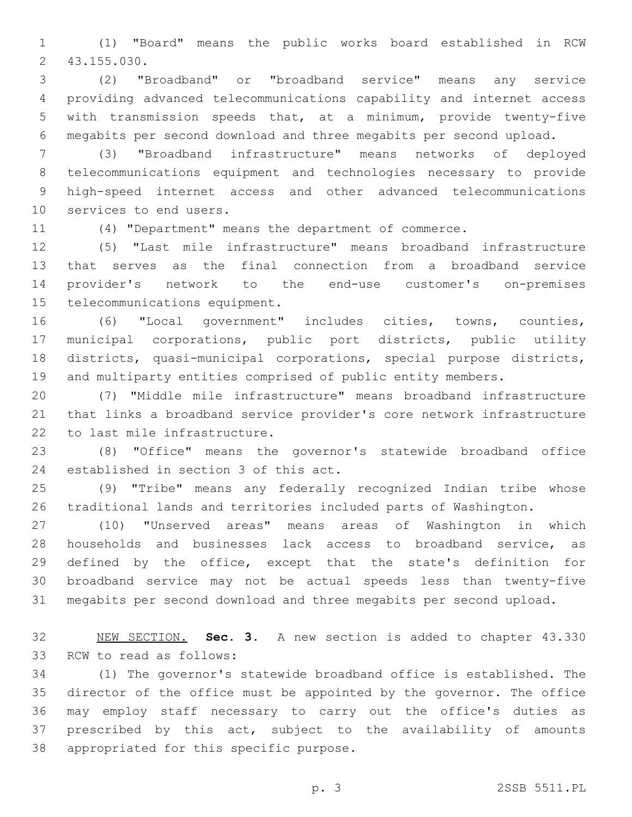(1) "Board" means the public works board established in RCW 43.155.030.2

 (2) "Broadband" or "broadband service" means any service providing advanced telecommunications capability and internet access with transmission speeds that, at a minimum, provide twenty-five megabits per second download and three megabits per second upload.

 (3) "Broadband infrastructure" means networks of deployed telecommunications equipment and technologies necessary to provide high-speed internet access and other advanced telecommunications 10 services to end users.

(4) "Department" means the department of commerce.

 (5) "Last mile infrastructure" means broadband infrastructure that serves as the final connection from a broadband service provider's network to the end-use customer's on-premises 15 telecommunications equipment.

 (6) "Local government" includes cities, towns, counties, municipal corporations, public port districts, public utility districts, quasi-municipal corporations, special purpose districts, 19 and multiparty entities comprised of public entity members.

 (7) "Middle mile infrastructure" means broadband infrastructure that links a broadband service provider's core network infrastructure 22 to last mile infrastructure.

 (8) "Office" means the governor's statewide broadband office 24 established in section 3 of this act.

 (9) "Tribe" means any federally recognized Indian tribe whose traditional lands and territories included parts of Washington.

 (10) "Unserved areas" means areas of Washington in which households and businesses lack access to broadband service, as defined by the office, except that the state's definition for broadband service may not be actual speeds less than twenty-five megabits per second download and three megabits per second upload.

 NEW SECTION. **Sec. 3.** A new section is added to chapter 43.330 33 RCW to read as follows:

 (1) The governor's statewide broadband office is established. The director of the office must be appointed by the governor. The office may employ staff necessary to carry out the office's duties as prescribed by this act, subject to the availability of amounts 38 appropriated for this specific purpose.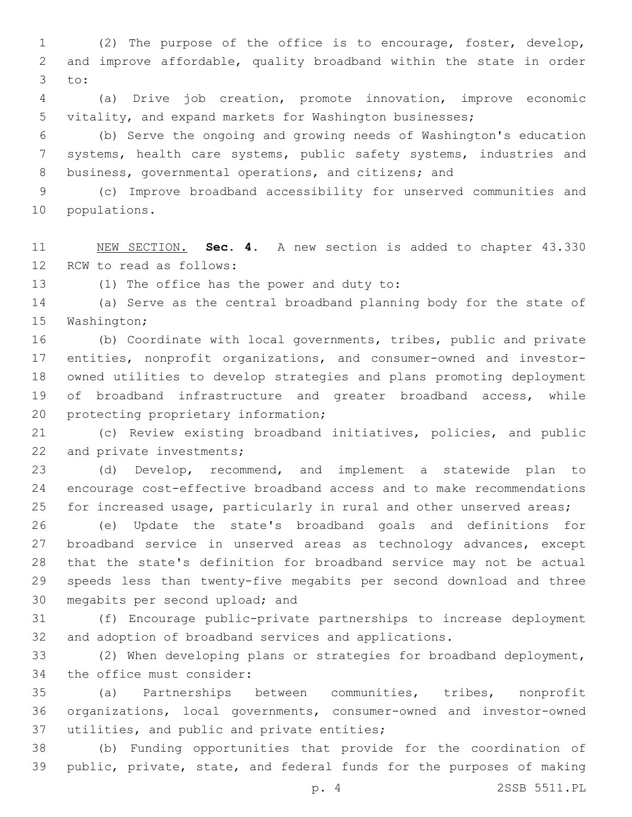(2) The purpose of the office is to encourage, foster, develop, and improve affordable, quality broadband within the state in order 3 to:

 (a) Drive job creation, promote innovation, improve economic vitality, and expand markets for Washington businesses;

 (b) Serve the ongoing and growing needs of Washington's education systems, health care systems, public safety systems, industries and business, governmental operations, and citizens; and

 (c) Improve broadband accessibility for unserved communities and 10 populations.

 NEW SECTION. **Sec. 4.** A new section is added to chapter 43.330 12 RCW to read as follows:

13 (1) The office has the power and duty to:

 (a) Serve as the central broadband planning body for the state of 15 Washington;

 (b) Coordinate with local governments, tribes, public and private entities, nonprofit organizations, and consumer-owned and investor- owned utilities to develop strategies and plans promoting deployment of broadband infrastructure and greater broadband access, while 20 protecting proprietary information;

 (c) Review existing broadband initiatives, policies, and public 22 and private investments;

 (d) Develop, recommend, and implement a statewide plan to encourage cost-effective broadband access and to make recommendations 25 for increased usage, particularly in rural and other unserved areas;

 (e) Update the state's broadband goals and definitions for broadband service in unserved areas as technology advances, except that the state's definition for broadband service may not be actual speeds less than twenty-five megabits per second download and three 30 megabits per second upload; and

 (f) Encourage public-private partnerships to increase deployment and adoption of broadband services and applications.

 (2) When developing plans or strategies for broadband deployment, 34 the office must consider:

 (a) Partnerships between communities, tribes, nonprofit organizations, local governments, consumer-owned and investor-owned 37 utilities, and public and private entities;

 (b) Funding opportunities that provide for the coordination of public, private, state, and federal funds for the purposes of making

p. 4 2SSB 5511.PL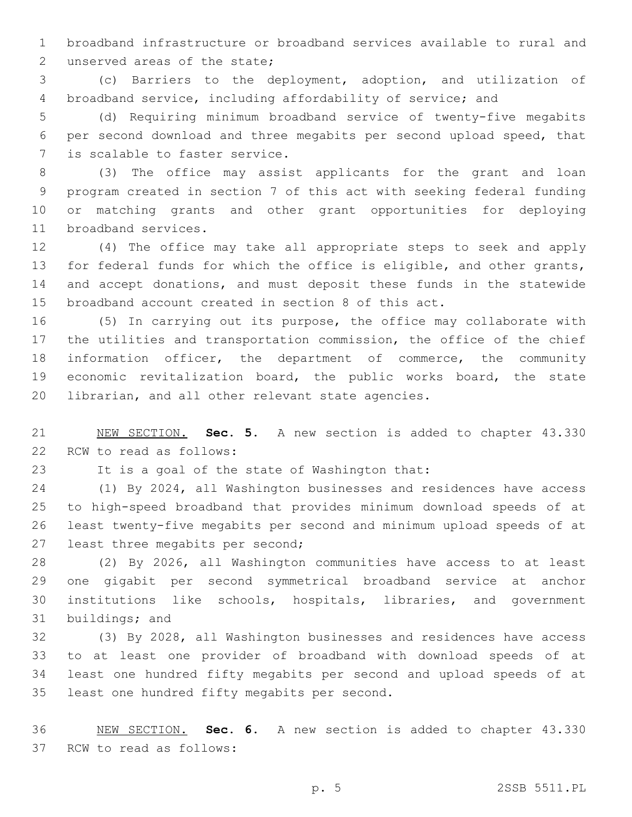broadband infrastructure or broadband services available to rural and 2 unserved areas of the state;

 (c) Barriers to the deployment, adoption, and utilization of broadband service, including affordability of service; and

 (d) Requiring minimum broadband service of twenty-five megabits per second download and three megabits per second upload speed, that 7 is scalable to faster service.

 (3) The office may assist applicants for the grant and loan program created in section 7 of this act with seeking federal funding or matching grants and other grant opportunities for deploying 11 broadband services.

 (4) The office may take all appropriate steps to seek and apply for federal funds for which the office is eligible, and other grants, and accept donations, and must deposit these funds in the statewide broadband account created in section 8 of this act.

 (5) In carrying out its purpose, the office may collaborate with the utilities and transportation commission, the office of the chief information officer, the department of commerce, the community economic revitalization board, the public works board, the state 20 librarian, and all other relevant state agencies.

 NEW SECTION. **Sec. 5.** A new section is added to chapter 43.330 22 RCW to read as follows:

23 It is a goal of the state of Washington that:

 (1) By 2024, all Washington businesses and residences have access to high-speed broadband that provides minimum download speeds of at least twenty-five megabits per second and minimum upload speeds of at 27 least three megabits per second;

 (2) By 2026, all Washington communities have access to at least one gigabit per second symmetrical broadband service at anchor institutions like schools, hospitals, libraries, and government 31 buildings; and

 (3) By 2028, all Washington businesses and residences have access to at least one provider of broadband with download speeds of at least one hundred fifty megabits per second and upload speeds of at 35 least one hundred fifty megabits per second.

 NEW SECTION. **Sec. 6.** A new section is added to chapter 43.330 37 RCW to read as follows: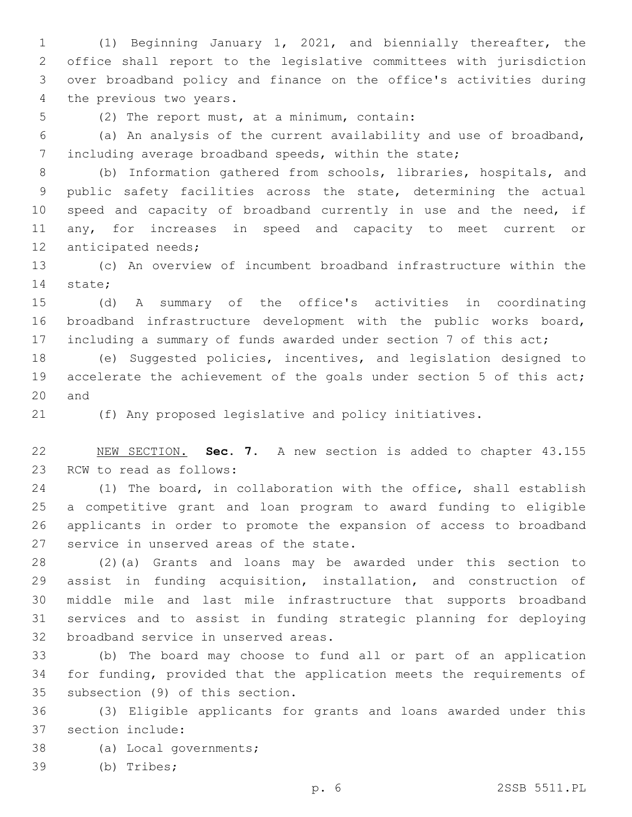(1) Beginning January 1, 2021, and biennially thereafter, the office shall report to the legislative committees with jurisdiction over broadband policy and finance on the office's activities during 4 the previous two years.

5 (2) The report must, at a minimum, contain:

 (a) An analysis of the current availability and use of broadband, including average broadband speeds, within the state;

 (b) Information gathered from schools, libraries, hospitals, and public safety facilities across the state, determining the actual 10 speed and capacity of broadband currently in use and the need, if any, for increases in speed and capacity to meet current or 12 anticipated needs;

 (c) An overview of incumbent broadband infrastructure within the 14 state;

 (d) A summary of the office's activities in coordinating broadband infrastructure development with the public works board, including a summary of funds awarded under section 7 of this act;

 (e) Suggested policies, incentives, and legislation designed to 19 accelerate the achievement of the goals under section 5 of this act; 20 and

(f) Any proposed legislative and policy initiatives.

 NEW SECTION. **Sec. 7.** A new section is added to chapter 43.155 23 RCW to read as follows:

 (1) The board, in collaboration with the office, shall establish a competitive grant and loan program to award funding to eligible applicants in order to promote the expansion of access to broadband 27 service in unserved areas of the state.

 (2)(a) Grants and loans may be awarded under this section to assist in funding acquisition, installation, and construction of middle mile and last mile infrastructure that supports broadband services and to assist in funding strategic planning for deploying 32 broadband service in unserved areas.

 (b) The board may choose to fund all or part of an application for funding, provided that the application meets the requirements of 35 subsection (9) of this section.

 (3) Eligible applicants for grants and loans awarded under this 37 section include:

38 (a) Local governments;

(b) Tribes;39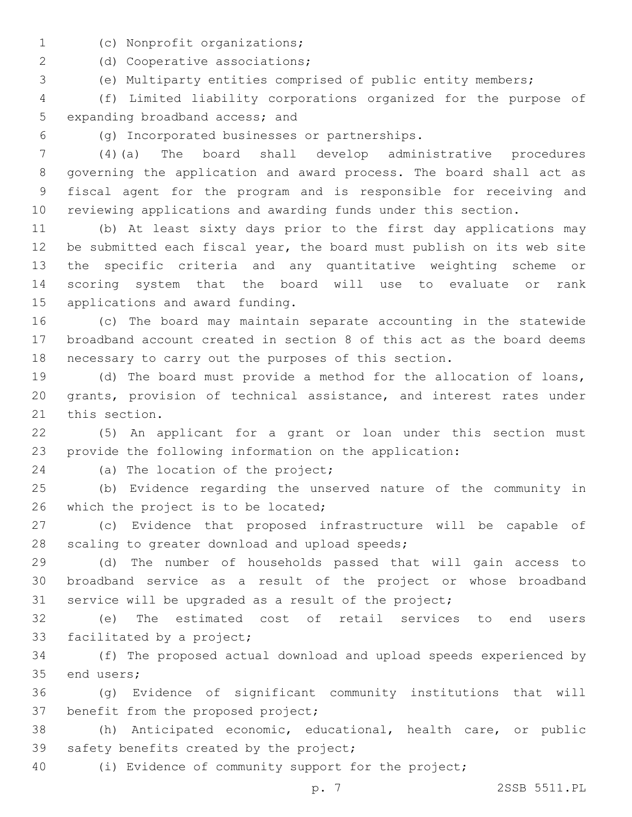- (c) Nonprofit organizations;1
- 2 (d) Cooperative associations;
- (e) Multiparty entities comprised of public entity members;

 (f) Limited liability corporations organized for the purpose of 5 expanding broadband access; and

(g) Incorporated businesses or partnerships.6

 (4)(a) The board shall develop administrative procedures governing the application and award process. The board shall act as fiscal agent for the program and is responsible for receiving and reviewing applications and awarding funds under this section.

 (b) At least sixty days prior to the first day applications may be submitted each fiscal year, the board must publish on its web site the specific criteria and any quantitative weighting scheme or scoring system that the board will use to evaluate or rank 15 applications and award funding.

 (c) The board may maintain separate accounting in the statewide broadband account created in section 8 of this act as the board deems necessary to carry out the purposes of this section.

 (d) The board must provide a method for the allocation of loans, grants, provision of technical assistance, and interest rates under 21 this section.

 (5) An applicant for a grant or loan under this section must provide the following information on the application:

24 (a) The location of the project;

 (b) Evidence regarding the unserved nature of the community in 26 which the project is to be located;

 (c) Evidence that proposed infrastructure will be capable of 28 scaling to greater download and upload speeds;

 (d) The number of households passed that will gain access to broadband service as a result of the project or whose broadband service will be upgraded as a result of the project;

 (e) The estimated cost of retail services to end users 33 facilitated by a project;

 (f) The proposed actual download and upload speeds experienced by 35 end users;

 (g) Evidence of significant community institutions that will 37 benefit from the proposed project;

 (h) Anticipated economic, educational, health care, or public 39 safety benefits created by the project;

(i) Evidence of community support for the project;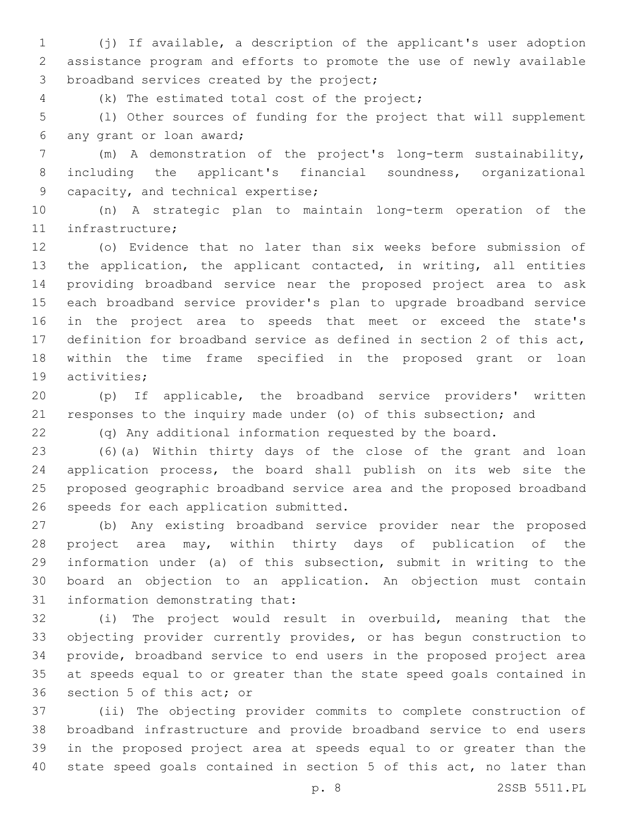(j) If available, a description of the applicant's user adoption assistance program and efforts to promote the use of newly available 3 broadband services created by the project;

(k) The estimated total cost of the project;4

 (l) Other sources of funding for the project that will supplement 6 any grant or loan award;

 (m) A demonstration of the project's long-term sustainability, including the applicant's financial soundness, organizational 9 capacity, and technical expertise;

 (n) A strategic plan to maintain long-term operation of the 11 infrastructure;

 (o) Evidence that no later than six weeks before submission of the application, the applicant contacted, in writing, all entities providing broadband service near the proposed project area to ask each broadband service provider's plan to upgrade broadband service in the project area to speeds that meet or exceed the state's definition for broadband service as defined in section 2 of this act, within the time frame specified in the proposed grant or loan 19 activities:

 (p) If applicable, the broadband service providers' written responses to the inquiry made under (o) of this subsection; and

(q) Any additional information requested by the board.

 (6)(a) Within thirty days of the close of the grant and loan application process, the board shall publish on its web site the proposed geographic broadband service area and the proposed broadband 26 speeds for each application submitted.

 (b) Any existing broadband service provider near the proposed project area may, within thirty days of publication of the information under (a) of this subsection, submit in writing to the board an objection to an application. An objection must contain 31 information demonstrating that:

 (i) The project would result in overbuild, meaning that the objecting provider currently provides, or has begun construction to provide, broadband service to end users in the proposed project area at speeds equal to or greater than the state speed goals contained in 36 section 5 of this act; or

 (ii) The objecting provider commits to complete construction of broadband infrastructure and provide broadband service to end users in the proposed project area at speeds equal to or greater than the state speed goals contained in section 5 of this act, no later than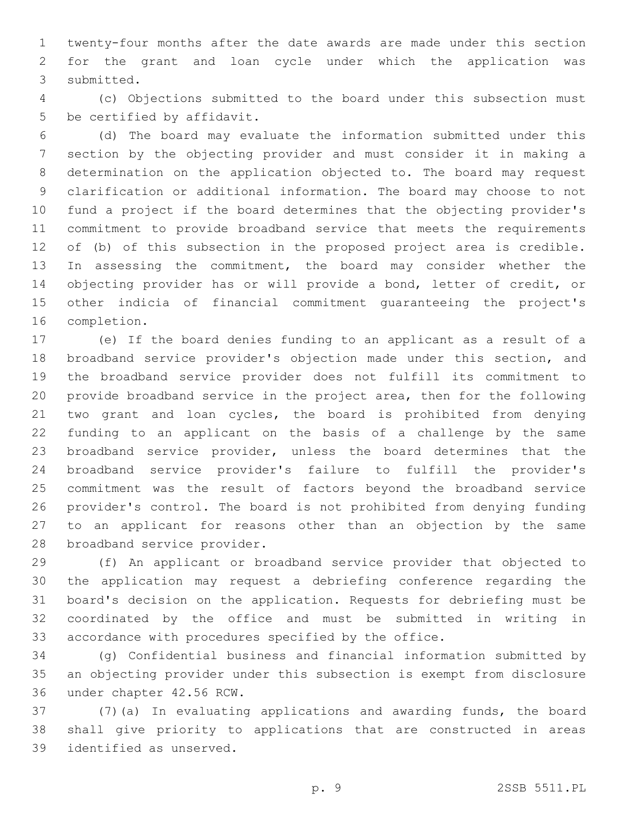twenty-four months after the date awards are made under this section for the grant and loan cycle under which the application was 3 submitted.

 (c) Objections submitted to the board under this subsection must 5 be certified by affidavit.

 (d) The board may evaluate the information submitted under this section by the objecting provider and must consider it in making a determination on the application objected to. The board may request clarification or additional information. The board may choose to not fund a project if the board determines that the objecting provider's commitment to provide broadband service that meets the requirements of (b) of this subsection in the proposed project area is credible. 13 In assessing the commitment, the board may consider whether the objecting provider has or will provide a bond, letter of credit, or other indicia of financial commitment guaranteeing the project's 16 completion.

 (e) If the board denies funding to an applicant as a result of a broadband service provider's objection made under this section, and the broadband service provider does not fulfill its commitment to provide broadband service in the project area, then for the following two grant and loan cycles, the board is prohibited from denying funding to an applicant on the basis of a challenge by the same broadband service provider, unless the board determines that the broadband service provider's failure to fulfill the provider's commitment was the result of factors beyond the broadband service provider's control. The board is not prohibited from denying funding to an applicant for reasons other than an objection by the same 28 broadband service provider.

 (f) An applicant or broadband service provider that objected to the application may request a debriefing conference regarding the board's decision on the application. Requests for debriefing must be coordinated by the office and must be submitted in writing in accordance with procedures specified by the office.

 (g) Confidential business and financial information submitted by an objecting provider under this subsection is exempt from disclosure 36 under chapter 42.56 RCW.

 (7)(a) In evaluating applications and awarding funds, the board shall give priority to applications that are constructed in areas 39 identified as unserved.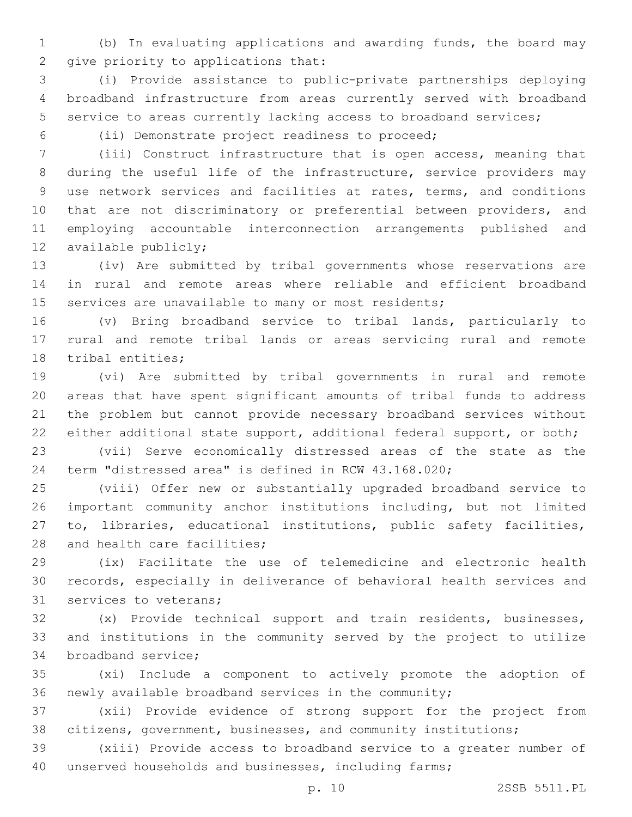(b) In evaluating applications and awarding funds, the board may 2 give priority to applications that:

 (i) Provide assistance to public-private partnerships deploying broadband infrastructure from areas currently served with broadband service to areas currently lacking access to broadband services;

(ii) Demonstrate project readiness to proceed;6

 (iii) Construct infrastructure that is open access, meaning that during the useful life of the infrastructure, service providers may use network services and facilities at rates, terms, and conditions 10 that are not discriminatory or preferential between providers, and employing accountable interconnection arrangements published and 12 available publicly;

 (iv) Are submitted by tribal governments whose reservations are in rural and remote areas where reliable and efficient broadband 15 services are unavailable to many or most residents;

 (v) Bring broadband service to tribal lands, particularly to rural and remote tribal lands or areas servicing rural and remote 18 tribal entities;

 (vi) Are submitted by tribal governments in rural and remote areas that have spent significant amounts of tribal funds to address the problem but cannot provide necessary broadband services without 22 either additional state support, additional federal support, or both;

 (vii) Serve economically distressed areas of the state as the term "distressed area" is defined in RCW 43.168.020;

 (viii) Offer new or substantially upgraded broadband service to important community anchor institutions including, but not limited to, libraries, educational institutions, public safety facilities, 28 and health care facilities;

 (ix) Facilitate the use of telemedicine and electronic health records, especially in deliverance of behavioral health services and 31 services to veterans;

 (x) Provide technical support and train residents, businesses, and institutions in the community served by the project to utilize 34 broadband service;

 (xi) Include a component to actively promote the adoption of newly available broadband services in the community;

 (xii) Provide evidence of strong support for the project from citizens, government, businesses, and community institutions;

 (xiii) Provide access to broadband service to a greater number of unserved households and businesses, including farms;

p. 10 2SSB 5511.PL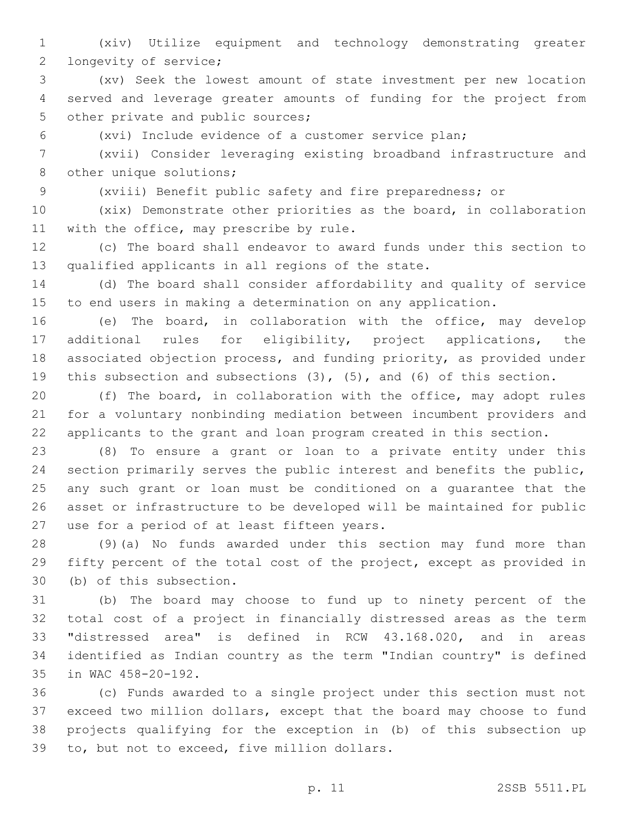(xiv) Utilize equipment and technology demonstrating greater 2 longevity of service;

 (xv) Seek the lowest amount of state investment per new location served and leverage greater amounts of funding for the project from 5 other private and public sources;

(xvi) Include evidence of a customer service plan;

 (xvii) Consider leveraging existing broadband infrastructure and 8 other unique solutions;

(xviii) Benefit public safety and fire preparedness; or

 (xix) Demonstrate other priorities as the board, in collaboration 11 with the office, may prescribe by rule.

 (c) The board shall endeavor to award funds under this section to 13 qualified applicants in all regions of the state.

 (d) The board shall consider affordability and quality of service to end users in making a determination on any application.

 (e) The board, in collaboration with the office, may develop additional rules for eligibility, project applications, the associated objection process, and funding priority, as provided under this subsection and subsections (3), (5), and (6) of this section.

 (f) The board, in collaboration with the office, may adopt rules for a voluntary nonbinding mediation between incumbent providers and applicants to the grant and loan program created in this section.

 (8) To ensure a grant or loan to a private entity under this section primarily serves the public interest and benefits the public, any such grant or loan must be conditioned on a guarantee that the asset or infrastructure to be developed will be maintained for public 27 use for a period of at least fifteen years.

 (9)(a) No funds awarded under this section may fund more than fifty percent of the total cost of the project, except as provided in 30 (b) of this subsection.

 (b) The board may choose to fund up to ninety percent of the total cost of a project in financially distressed areas as the term "distressed area" is defined in RCW 43.168.020, and in areas identified as Indian country as the term "Indian country" is defined 35 in WAC 458-20-192.

 (c) Funds awarded to a single project under this section must not exceed two million dollars, except that the board may choose to fund projects qualifying for the exception in (b) of this subsection up 39 to, but not to exceed, five million dollars.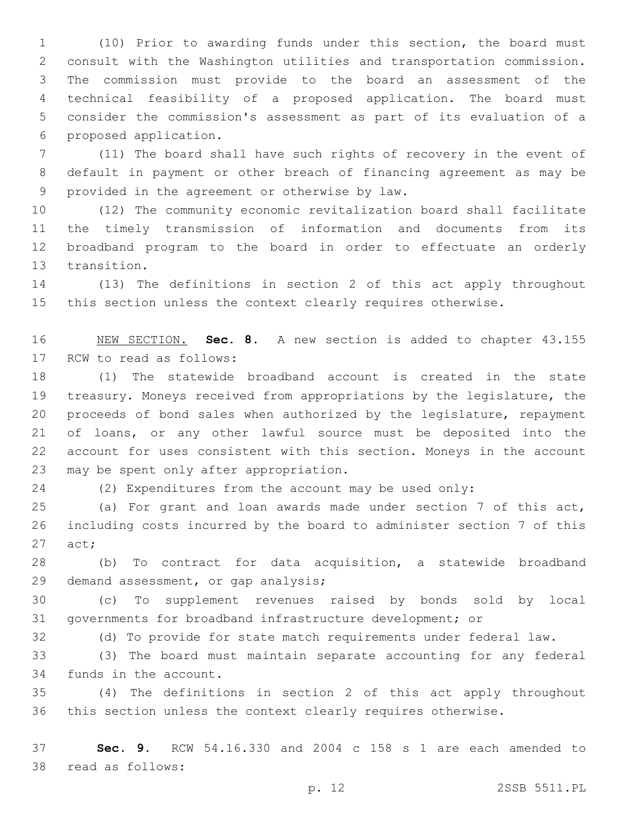(10) Prior to awarding funds under this section, the board must consult with the Washington utilities and transportation commission. The commission must provide to the board an assessment of the technical feasibility of a proposed application. The board must consider the commission's assessment as part of its evaluation of a 6 proposed application.

 (11) The board shall have such rights of recovery in the event of default in payment or other breach of financing agreement as may be 9 provided in the agreement or otherwise by law.

 (12) The community economic revitalization board shall facilitate the timely transmission of information and documents from its broadband program to the board in order to effectuate an orderly 13 transition.

 (13) The definitions in section 2 of this act apply throughout this section unless the context clearly requires otherwise.

 NEW SECTION. **Sec. 8.** A new section is added to chapter 43.155 17 RCW to read as follows:

 (1) The statewide broadband account is created in the state treasury. Moneys received from appropriations by the legislature, the proceeds of bond sales when authorized by the legislature, repayment of loans, or any other lawful source must be deposited into the account for uses consistent with this section. Moneys in the account 23 may be spent only after appropriation.

(2) Expenditures from the account may be used only:

 (a) For grant and loan awards made under section 7 of this act, including costs incurred by the board to administer section 7 of this 27 act;

 (b) To contract for data acquisition, a statewide broadband 29 demand assessment, or gap analysis;

 (c) To supplement revenues raised by bonds sold by local governments for broadband infrastructure development; or

(d) To provide for state match requirements under federal law.

 (3) The board must maintain separate accounting for any federal 34 funds in the account.

 (4) The definitions in section 2 of this act apply throughout this section unless the context clearly requires otherwise.

 **Sec. 9.** RCW 54.16.330 and 2004 c 158 s 1 are each amended to 38 read as follows: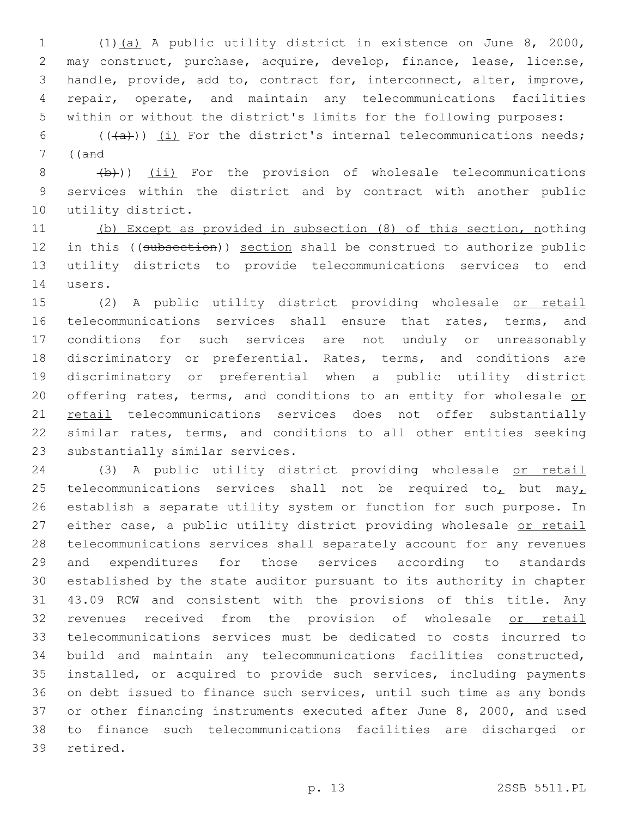(1)(a) A public utility district in existence on June 8, 2000, may construct, purchase, acquire, develop, finance, lease, license, handle, provide, add to, contract for, interconnect, alter, improve, repair, operate, and maintain any telecommunications facilities within or without the district's limits for the following purposes:

6  $((+a))$  (i) For the district's internal telecommunications needs; ((and

8 (b)) (ii) For the provision of wholesale telecommunications services within the district and by contract with another public 10 utility district.

 (b) Except as provided in subsection (8) of this section, nothing 12 in this ((subsection)) section shall be construed to authorize public utility districts to provide telecommunications services to end 14 users.

 (2) A public utility district providing wholesale or retail 16 telecommunications services shall ensure that rates, terms, and conditions for such services are not unduly or unreasonably discriminatory or preferential. Rates, terms, and conditions are discriminatory or preferential when a public utility district 20 offering rates, terms, and conditions to an entity for wholesale or 21 retail telecommunications services does not offer substantially similar rates, terms, and conditions to all other entities seeking 23 substantially similar services.

 (3) A public utility district providing wholesale or retail 25 telecommunications services shall not be required to, but may, establish a separate utility system or function for such purpose. In 27 either case, a public utility district providing wholesale or retail telecommunications services shall separately account for any revenues and expenditures for those services according to standards established by the state auditor pursuant to its authority in chapter 43.09 RCW and consistent with the provisions of this title. Any 32 revenues received from the provision of wholesale or retail telecommunications services must be dedicated to costs incurred to build and maintain any telecommunications facilities constructed, installed, or acquired to provide such services, including payments on debt issued to finance such services, until such time as any bonds or other financing instruments executed after June 8, 2000, and used to finance such telecommunications facilities are discharged or 39 retired.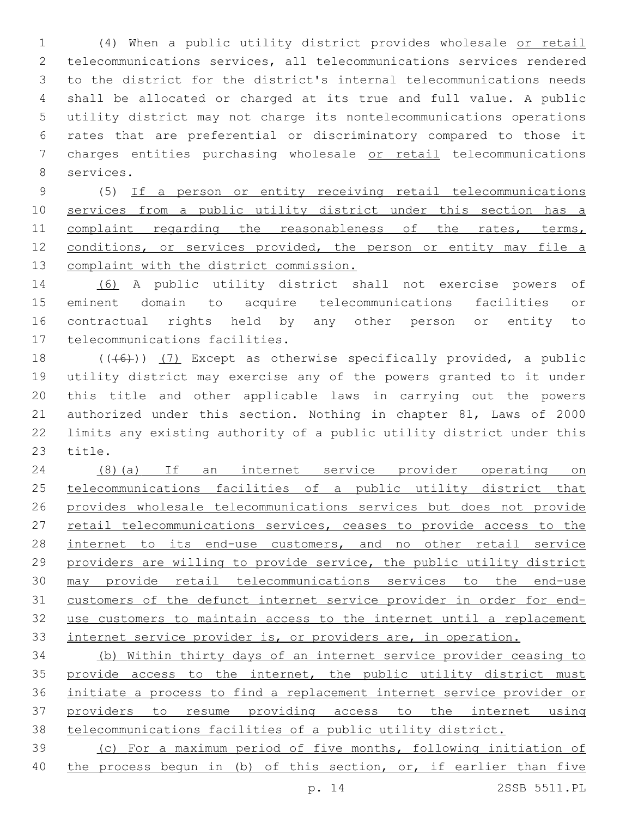(4) When a public utility district provides wholesale or retail telecommunications services, all telecommunications services rendered to the district for the district's internal telecommunications needs shall be allocated or charged at its true and full value. A public utility district may not charge its nontelecommunications operations rates that are preferential or discriminatory compared to those it 7 charges entities purchasing wholesale or retail telecommunications 8 services.

 (5) If a person or entity receiving retail telecommunications services from a public utility district under this section has a 11 complaint regarding the reasonableness of the rates, terms, 12 conditions, or services provided, the person or entity may file a complaint with the district commission.

 (6) A public utility district shall not exercise powers of eminent domain to acquire telecommunications facilities or contractual rights held by any other person or entity to 17 telecommunications facilities.

 (( $(46)$ )) (7) Except as otherwise specifically provided, a public utility district may exercise any of the powers granted to it under this title and other applicable laws in carrying out the powers authorized under this section. Nothing in chapter 81, Laws of 2000 limits any existing authority of a public utility district under this 23 title.

 (8)(a) If an internet service provider operating on telecommunications facilities of a public utility district that provides wholesale telecommunications services but does not provide 27 retail telecommunications services, ceases to provide access to the 28 internet to its end-use customers, and no other retail service providers are willing to provide service, the public utility district may provide retail telecommunications services to the end-use customers of the defunct internet service provider in order for end- use customers to maintain access to the internet until a replacement internet service provider is, or providers are, in operation.

 (b) Within thirty days of an internet service provider ceasing to 35 provide access to the internet, the public utility district must initiate a process to find a replacement internet service provider or providers to resume providing access to the internet using telecommunications facilities of a public utility district.

 (c) For a maximum period of five months, following initiation of the process begun in (b) of this section, or, if earlier than five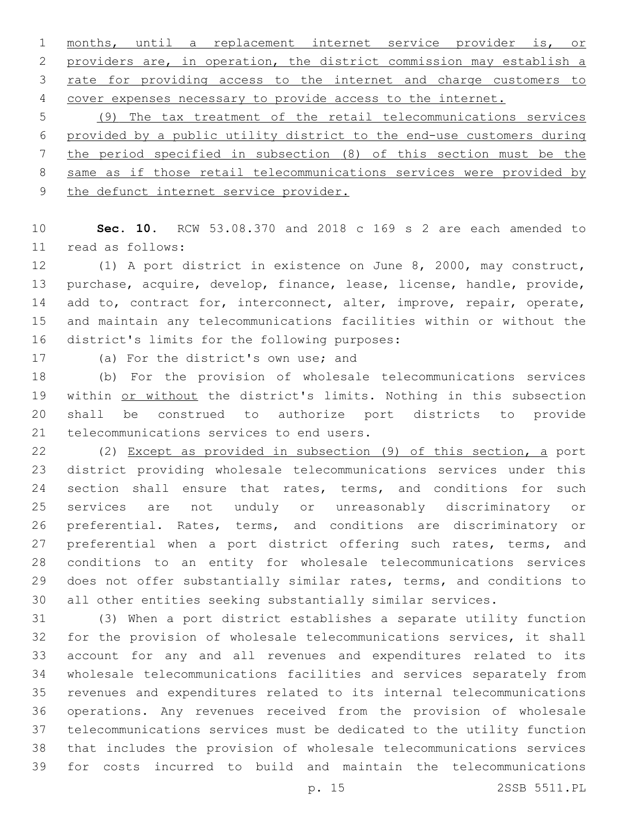months, until a replacement internet service provider is, or providers are, in operation, the district commission may establish a rate for providing access to the internet and charge customers to cover expenses necessary to provide access to the internet.

 (9) The tax treatment of the retail telecommunications services provided by a public utility district to the end-use customers during the period specified in subsection (8) of this section must be the same as if those retail telecommunications services were provided by the defunct internet service provider.

 **Sec. 10.** RCW 53.08.370 and 2018 c 169 s 2 are each amended to read as follows:11

 (1) A port district in existence on June 8, 2000, may construct, purchase, acquire, develop, finance, lease, license, handle, provide, 14 add to, contract for, interconnect, alter, improve, repair, operate, and maintain any telecommunications facilities within or without the 16 district's limits for the following purposes:

17 (a) For the district's own use; and

 (b) For the provision of wholesale telecommunications services 19 within or without the district's limits. Nothing in this subsection shall be construed to authorize port districts to provide 21 telecommunications services to end users.

 (2) Except as provided in subsection (9) of this section, a port district providing wholesale telecommunications services under this 24 section shall ensure that rates, terms, and conditions for such services are not unduly or unreasonably discriminatory or preferential. Rates, terms, and conditions are discriminatory or 27 preferential when a port district offering such rates, terms, and conditions to an entity for wholesale telecommunications services does not offer substantially similar rates, terms, and conditions to all other entities seeking substantially similar services.

 (3) When a port district establishes a separate utility function for the provision of wholesale telecommunications services, it shall account for any and all revenues and expenditures related to its wholesale telecommunications facilities and services separately from revenues and expenditures related to its internal telecommunications operations. Any revenues received from the provision of wholesale telecommunications services must be dedicated to the utility function that includes the provision of wholesale telecommunications services for costs incurred to build and maintain the telecommunications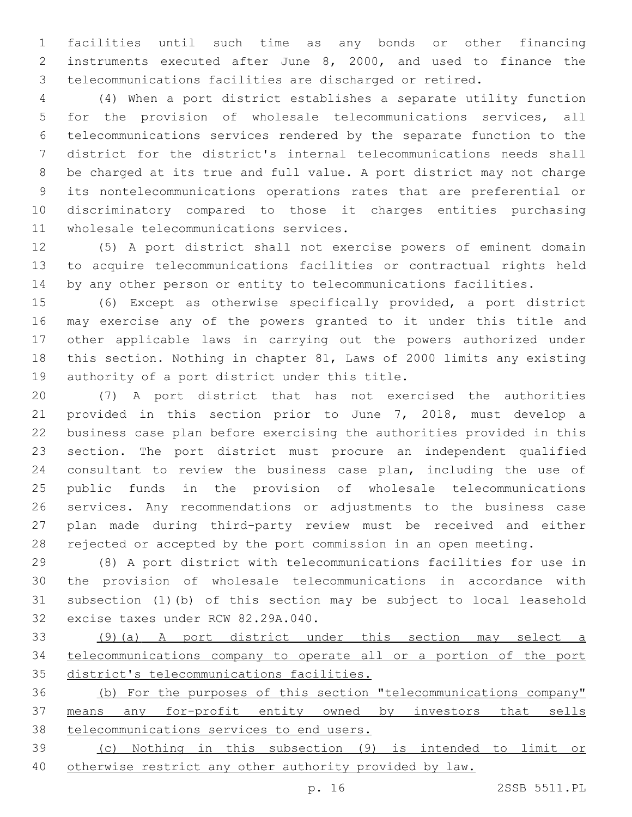facilities until such time as any bonds or other financing instruments executed after June 8, 2000, and used to finance the telecommunications facilities are discharged or retired.

 (4) When a port district establishes a separate utility function for the provision of wholesale telecommunications services, all telecommunications services rendered by the separate function to the district for the district's internal telecommunications needs shall be charged at its true and full value. A port district may not charge its nontelecommunications operations rates that are preferential or discriminatory compared to those it charges entities purchasing 11 wholesale telecommunications services.

 (5) A port district shall not exercise powers of eminent domain to acquire telecommunications facilities or contractual rights held by any other person or entity to telecommunications facilities.

 (6) Except as otherwise specifically provided, a port district may exercise any of the powers granted to it under this title and other applicable laws in carrying out the powers authorized under this section. Nothing in chapter 81, Laws of 2000 limits any existing 19 authority of a port district under this title.

 (7) A port district that has not exercised the authorities provided in this section prior to June 7, 2018, must develop a business case plan before exercising the authorities provided in this section. The port district must procure an independent qualified consultant to review the business case plan, including the use of public funds in the provision of wholesale telecommunications services. Any recommendations or adjustments to the business case plan made during third-party review must be received and either rejected or accepted by the port commission in an open meeting.

 (8) A port district with telecommunications facilities for use in the provision of wholesale telecommunications in accordance with subsection (1)(b) of this section may be subject to local leasehold 32 excise taxes under RCW 82.29A.040.

 (9)(a) A port district under this section may select a telecommunications company to operate all or a portion of the port district's telecommunications facilities.

 (b) For the purposes of this section "telecommunications company" means any for-profit entity owned by investors that sells telecommunications services to end users.

 (c) Nothing in this subsection (9) is intended to limit or otherwise restrict any other authority provided by law.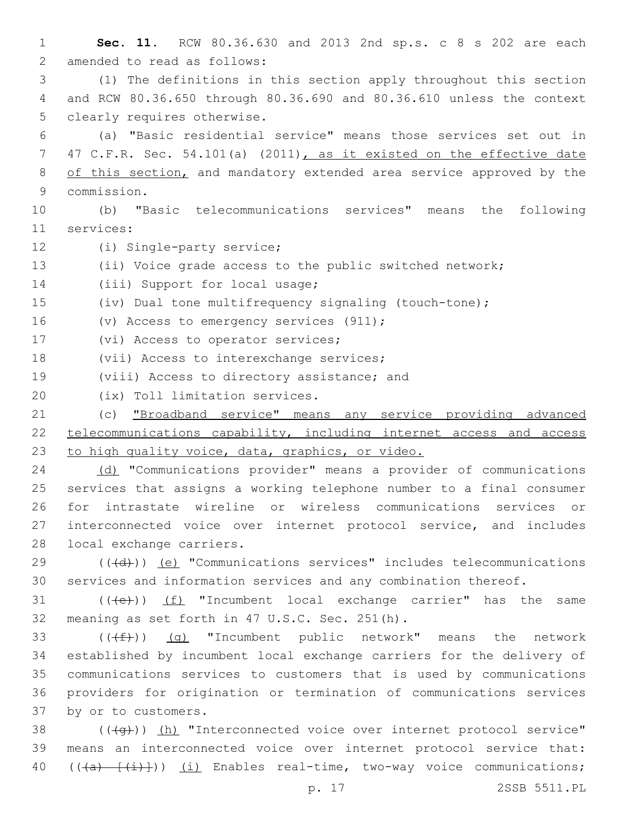1 **Sec. 11.** RCW 80.36.630 and 2013 2nd sp.s. c 8 s 202 are each 2 amended to read as follows:

3 (1) The definitions in this section apply throughout this section 4 and RCW 80.36.650 through 80.36.690 and 80.36.610 unless the context 5 clearly requires otherwise.

6 (a) "Basic residential service" means those services set out in 7 47 C.F.R. Sec. 54.101(a) (2011), as it existed on the effective date 8 of this section, and mandatory extended area service approved by the 9 commission.

10 (b) "Basic telecommunications services" means the following 11 services:

- 12 (i) Single-party service;
- 13 (ii) Voice grade access to the public switched network;

14 (iii) Support for local usage;

15 (iv) Dual tone multifrequency signaling (touch-tone);

16 (v) Access to emergency services (911);

17 (vi) Access to operator services;

18 (vii) Access to interexchange services;

19 (viii) Access to directory assistance; and

20 (ix) Toll limitation services.

21 (c) "Broadband service" means any service providing advanced 22 telecommunications capability, including internet access and access 23 to high quality voice, data, graphics, or video.

 (d) "Communications provider" means a provider of communications services that assigns a working telephone number to a final consumer for intrastate wireline or wireless communications services or interconnected voice over internet protocol service, and includes 28 local exchange carriers.

 $29$  ( $(\overline{4d})$ ) (e) "Communications services" includes telecommunications 30 services and information services and any combination thereof.

31  $((\text{+e})^2)(\text{f})$  "Incumbent local exchange carrier" has the same 32 meaning as set forth in 47 U.S.C. Sec. 251(h).

33 ( $(\text{f}(\text{f}))$  (q) "Incumbent public network" means the network 34 established by incumbent local exchange carriers for the delivery of 35 communications services to customers that is used by communications 36 providers for origination or termination of communications services by or to customers.37

38 (((+g))) (h) "Interconnected voice over internet protocol service" 39 means an interconnected voice over internet protocol service that: 40  $((+a)$   $+(*i*)+))$  (i) Enables real-time, two-way voice communications;

p. 17 2SSB 5511.PL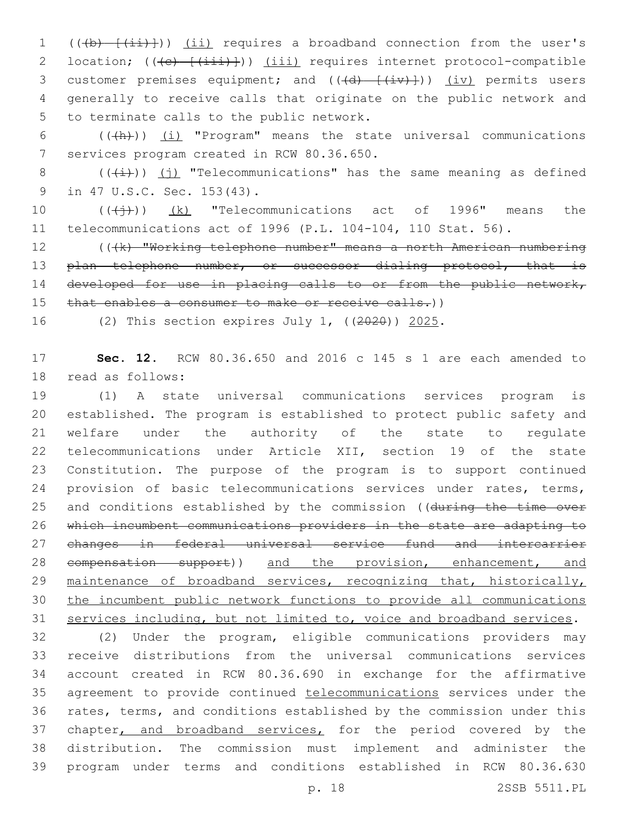1  $((+b) - \{\pm i\})$  (ii) requires a broadband connection from the user's 2 location;  $((+e) - (i\pm i))^2$ ) (iii) requires internet protocol-compatible 3 customer premises equipment; and  $((\{d\} - \{\{\pm v\}\}) )$  (iv) permits users 4 generally to receive calls that originate on the public network and 5 to terminate calls to the public network.

6  $((+h))$   $(i)$  "Program" means the state universal communications 7 services program created in RCW 80.36.650.

8 ( $(\frac{1}{i})$ ) (j) "Telecommunications" has the same meaning as defined 9 in 47 U.S.C. Sec. 153(43).

10  $((\{\dagger\})$  (k) "Telecommunications act of 1996" means the 11 telecommunications act of 1996 (P.L. 104-104, 110 Stat. 56).

12 (((k) "Working telephone number" means a north American numbering 13 plan telephone number, or successor dialing protocol, that is 14 developed for use in placing calls to or from the public network, 15 that enables a consumer to make or receive calls.))

16 (2) This section expires July 1, ((2020)) 2025.

17 **Sec. 12.** RCW 80.36.650 and 2016 c 145 s 1 are each amended to 18 read as follows:

 (1) A state universal communications services program is established. The program is established to protect public safety and welfare under the authority of the state to regulate telecommunications under Article XII, section 19 of the state Constitution. The purpose of the program is to support continued 24 provision of basic telecommunications services under rates, terms, 25 and conditions established by the commission ((during the time over which incumbent communications providers in the state are adapting to changes in federal universal service fund and intercarrier 28 eompensation support)) and the provision, enhancement, and 29 maintenance of broadband services, recognizing that, historically, the incumbent public network functions to provide all communications services including, but not limited to, voice and broadband services.

 (2) Under the program, eligible communications providers may receive distributions from the universal communications services account created in RCW 80.36.690 in exchange for the affirmative 35 agreement to provide continued telecommunications services under the rates, terms, and conditions established by the commission under this 37 chapter, and broadband services, for the period covered by the distribution. The commission must implement and administer the program under terms and conditions established in RCW 80.36.630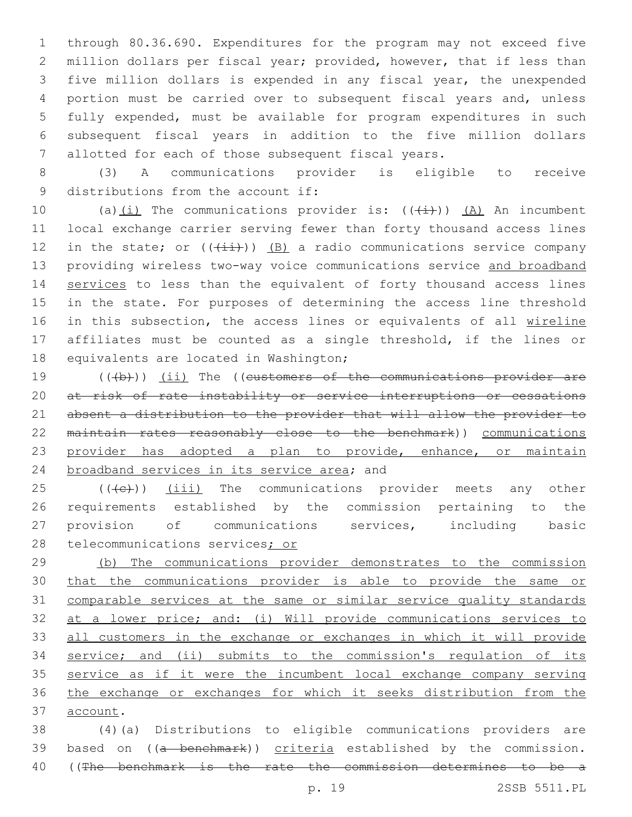through 80.36.690. Expenditures for the program may not exceed five million dollars per fiscal year; provided, however, that if less than five million dollars is expended in any fiscal year, the unexpended portion must be carried over to subsequent fiscal years and, unless fully expended, must be available for program expenditures in such subsequent fiscal years in addition to the five million dollars allotted for each of those subsequent fiscal years.

 (3) A communications provider is eligible to receive 9 distributions from the account if:

10 (a)(i) The communications provider is:  $((\frac{1}{1})^2)(\frac{1}{1})$  An incumbent local exchange carrier serving fewer than forty thousand access lines 12 in the state; or  $((\overrightarrow{ii}))(B)$  a radio communications service company providing wireless two-way voice communications service and broadband 14 services to less than the equivalent of forty thousand access lines in the state. For purposes of determining the access line threshold 16 in this subsection, the access lines or equivalents of all wireline affiliates must be counted as a single threshold, if the lines or 18 equivalents are located in Washington;

19 (((b))) (ii) The ((customers of the communications provider are at risk of rate instability or service interruptions or cessations absent a distribution to the provider that will allow the provider to maintain rates reasonably close to the benchmark)) communications 23 provider has adopted a plan to provide, enhance, or maintain 24 broadband services in its service area; and

 (( $\left(\frac{1}{11}\right)$  (iii) The communications provider meets any other requirements established by the commission pertaining to the provision of communications services, including basic 28 telecommunications services; or

 (b) The communications provider demonstrates to the commission that the communications provider is able to provide the same or comparable services at the same or similar service quality standards at a lower price; and: (i) Will provide communications services to all customers in the exchange or exchanges in which it will provide 34 service; and (ii) submits to the commission's regulation of its service as if it were the incumbent local exchange company serving the exchange or exchanges for which it seeks distribution from the 37 account.

 (4)(a) Distributions to eligible communications providers are 39 based on ((a benchmark)) criteria established by the commission. ((The benchmark is the rate the commission determines to be a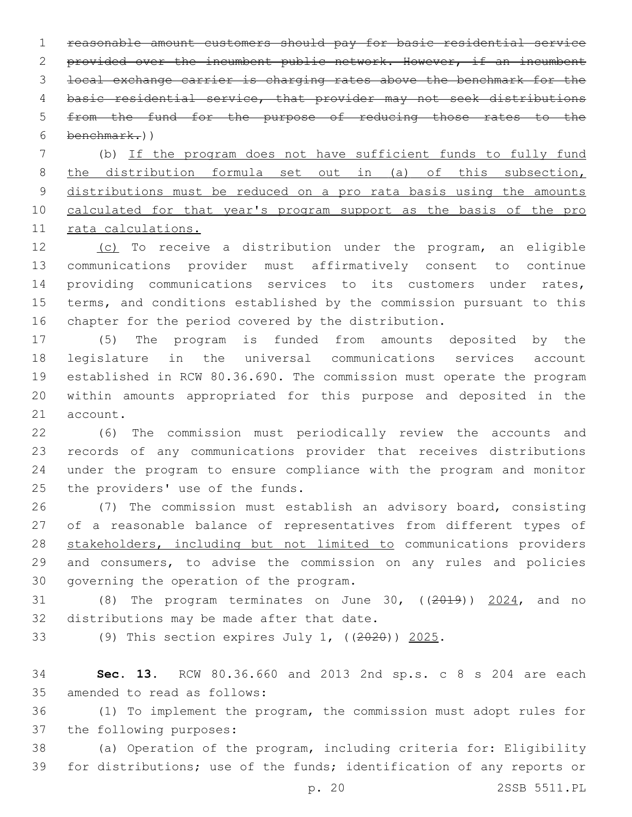reasonable amount customers should pay for basic residential service 2 provided over the incumbent public network. However, if an incumbent local exchange carrier is charging rates above the benchmark for the basic residential service, that provider may not seek distributions from the fund for the purpose of reducing those rates to the benchmark.)

 (b) If the program does not have sufficient funds to fully fund 8 the distribution formula set out in (a) of this subsection, 9 distributions must be reduced on a pro rata basis using the amounts calculated for that year's program support as the basis of the pro rata calculations.

12 (c) To receive a distribution under the program, an eligible communications provider must affirmatively consent to continue providing communications services to its customers under rates, terms, and conditions established by the commission pursuant to this chapter for the period covered by the distribution.

 (5) The program is funded from amounts deposited by the legislature in the universal communications services account established in RCW 80.36.690. The commission must operate the program within amounts appropriated for this purpose and deposited in the 21 account.

 (6) The commission must periodically review the accounts and records of any communications provider that receives distributions under the program to ensure compliance with the program and monitor 25 the providers' use of the funds.

 (7) The commission must establish an advisory board, consisting of a reasonable balance of representatives from different types of 28 stakeholders, including but not limited to communications providers and consumers, to advise the commission on any rules and policies 30 governing the operation of the program.

 (8) The program terminates on June 30, ((2019)) 2024, and no 32 distributions may be made after that date.

33 (9) This section expires July 1,  $(2020)$  2025.

 **Sec. 13.** RCW 80.36.660 and 2013 2nd sp.s. c 8 s 204 are each 35 amended to read as follows:

 (1) To implement the program, the commission must adopt rules for 37 the following purposes:

 (a) Operation of the program, including criteria for: Eligibility for distributions; use of the funds; identification of any reports or

p. 20 2SSB 5511.PL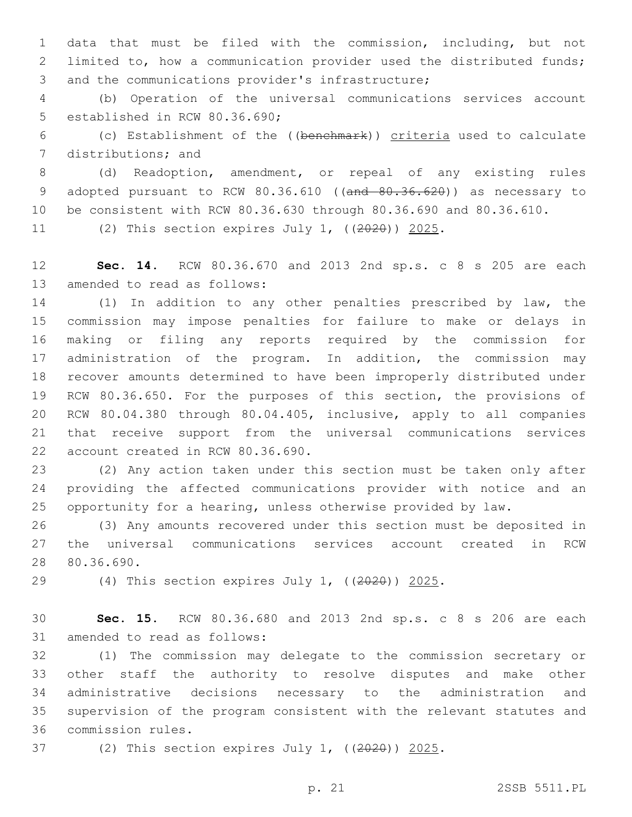data that must be filed with the commission, including, but not limited to, how a communication provider used the distributed funds; 3 and the communications provider's infrastructure;

 (b) Operation of the universal communications services account 5 established in RCW 80.36.690;

 (c) Establishment of the ((benchmark)) criteria used to calculate 7 distributions; and

 (d) Readoption, amendment, or repeal of any existing rules 9 adopted pursuant to RCW 80.36.610 ((and 80.36.620)) as necessary to be consistent with RCW 80.36.630 through 80.36.690 and 80.36.610.

(2) This section expires July 1, ((2020)) 2025.

 **Sec. 14.** RCW 80.36.670 and 2013 2nd sp.s. c 8 s 205 are each 13 amended to read as follows:

 (1) In addition to any other penalties prescribed by law, the commission may impose penalties for failure to make or delays in making or filing any reports required by the commission for administration of the program. In addition, the commission may recover amounts determined to have been improperly distributed under RCW 80.36.650. For the purposes of this section, the provisions of RCW 80.04.380 through 80.04.405, inclusive, apply to all companies that receive support from the universal communications services 22 account created in RCW 80.36.690.

 (2) Any action taken under this section must be taken only after providing the affected communications provider with notice and an opportunity for a hearing, unless otherwise provided by law.

 (3) Any amounts recovered under this section must be deposited in the universal communications services account created in RCW 28 80.36.690.

(4) This section expires July 1, ((2020)) 2025.

 **Sec. 15.** RCW 80.36.680 and 2013 2nd sp.s. c 8 s 206 are each 31 amended to read as follows:

 (1) The commission may delegate to the commission secretary or other staff the authority to resolve disputes and make other administrative decisions necessary to the administration and supervision of the program consistent with the relevant statutes and 36 commission rules.

(2) This section expires July 1, ((2020)) 2025.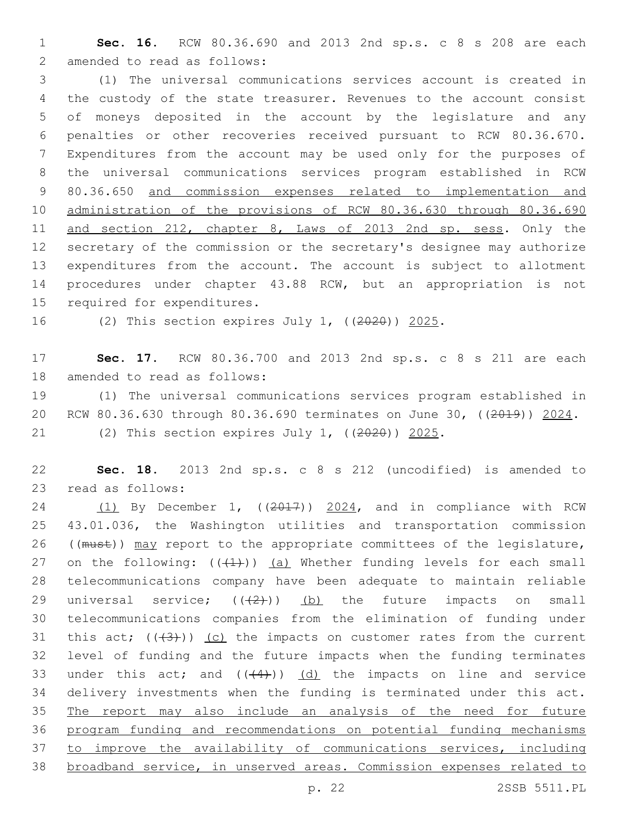**Sec. 16.** RCW 80.36.690 and 2013 2nd sp.s. c 8 s 208 are each 2 amended to read as follows:

 (1) The universal communications services account is created in the custody of the state treasurer. Revenues to the account consist of moneys deposited in the account by the legislature and any penalties or other recoveries received pursuant to RCW 80.36.670. Expenditures from the account may be used only for the purposes of the universal communications services program established in RCW 80.36.650 and commission expenses related to implementation and 10 administration of the provisions of RCW 80.36.630 through 80.36.690 11 and section 212, chapter 8, Laws of 2013 2nd sp. sess. Only the secretary of the commission or the secretary's designee may authorize expenditures from the account. The account is subject to allotment procedures under chapter 43.88 RCW, but an appropriation is not 15 required for expenditures.

(2) This section expires July 1, ((2020)) 2025.

 **Sec. 17.** RCW 80.36.700 and 2013 2nd sp.s. c 8 s 211 are each 18 amended to read as follows:

 (1) The universal communications services program established in 20 RCW 80.36.630 through 80.36.690 terminates on June 30, ((2019)) 2024. (2) This section expires July 1, ((2020)) 2025.

 **Sec. 18.** 2013 2nd sp.s. c 8 s 212 (uncodified) is amended to 23 read as follows:

 (1) By December 1, ((2017)) 2024, and in compliance with RCW 43.01.036, the Washington utilities and transportation commission 26 ((must)) may report to the appropriate committees of the legislature, 27 on the following:  $((+1)^2)$  (a) Whether funding levels for each small telecommunications company have been adequate to maintain reliable 29 universal service;  $((2+))$  (b) the future impacts on small telecommunications companies from the elimination of funding under 31 this act;  $((43)$ ) (c) the impacts on customer rates from the current level of funding and the future impacts when the funding terminates 33 under this act; and  $((+4))$   $(d)$  the impacts on line and service delivery investments when the funding is terminated under this act. The report may also include an analysis of the need for future program funding and recommendations on potential funding mechanisms to improve the availability of communications services, including broadband service, in unserved areas. Commission expenses related to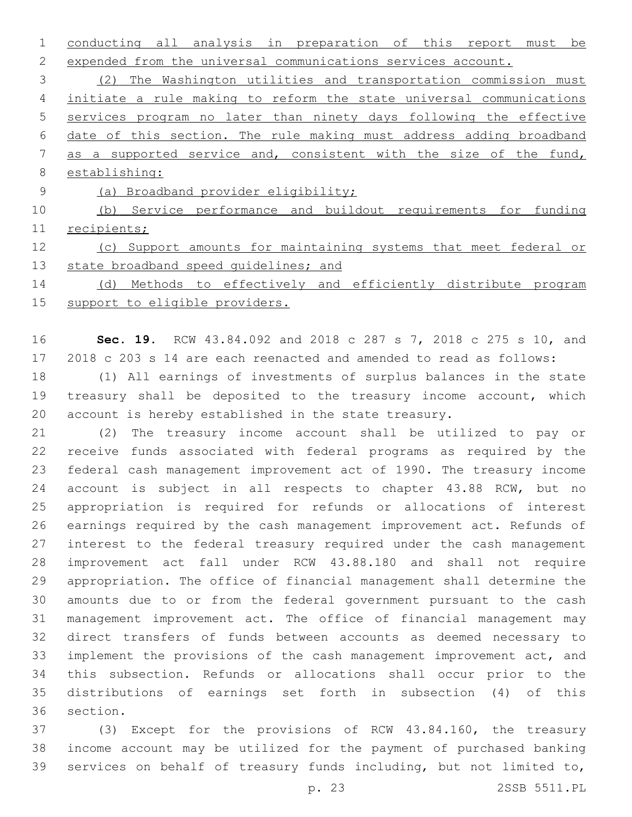conducting all analysis in preparation of this report must be expended from the universal communications services account.

 (2) The Washington utilities and transportation commission must initiate a rule making to reform the state universal communications services program no later than ninety days following the effective date of this section. The rule making must address adding broadband as a supported service and, consistent with the size of the fund, establishing: (a) Broadband provider eligibility;

 (b) Service performance and buildout requirements for funding recipients;

 (c) Support amounts for maintaining systems that meet federal or 13 state broadband speed quidelines; and

14 (d) Methods to effectively and efficiently distribute program support to eligible providers.

 **Sec. 19.** RCW 43.84.092 and 2018 c 287 s 7, 2018 c 275 s 10, and 2018 c 203 s 14 are each reenacted and amended to read as follows:

 (1) All earnings of investments of surplus balances in the state treasury shall be deposited to the treasury income account, which account is hereby established in the state treasury.

 (2) The treasury income account shall be utilized to pay or receive funds associated with federal programs as required by the federal cash management improvement act of 1990. The treasury income account is subject in all respects to chapter 43.88 RCW, but no appropriation is required for refunds or allocations of interest earnings required by the cash management improvement act. Refunds of interest to the federal treasury required under the cash management improvement act fall under RCW 43.88.180 and shall not require appropriation. The office of financial management shall determine the amounts due to or from the federal government pursuant to the cash management improvement act. The office of financial management may direct transfers of funds between accounts as deemed necessary to implement the provisions of the cash management improvement act, and this subsection. Refunds or allocations shall occur prior to the distributions of earnings set forth in subsection (4) of this 36 section.

 (3) Except for the provisions of RCW 43.84.160, the treasury income account may be utilized for the payment of purchased banking services on behalf of treasury funds including, but not limited to,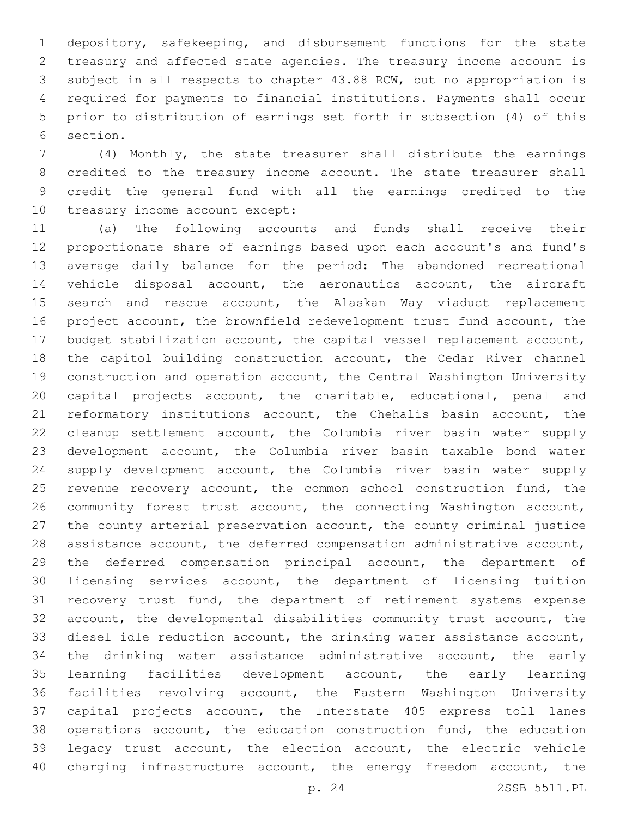depository, safekeeping, and disbursement functions for the state treasury and affected state agencies. The treasury income account is subject in all respects to chapter 43.88 RCW, but no appropriation is required for payments to financial institutions. Payments shall occur prior to distribution of earnings set forth in subsection (4) of this 6 section.

 (4) Monthly, the state treasurer shall distribute the earnings 8 credited to the treasury income account. The state treasurer shall credit the general fund with all the earnings credited to the 10 treasury income account except:

 (a) The following accounts and funds shall receive their proportionate share of earnings based upon each account's and fund's average daily balance for the period: The abandoned recreational vehicle disposal account, the aeronautics account, the aircraft 15 search and rescue account, the Alaskan Way viaduct replacement project account, the brownfield redevelopment trust fund account, the budget stabilization account, the capital vessel replacement account, the capitol building construction account, the Cedar River channel construction and operation account, the Central Washington University capital projects account, the charitable, educational, penal and 21 reformatory institutions account, the Chehalis basin account, the cleanup settlement account, the Columbia river basin water supply development account, the Columbia river basin taxable bond water supply development account, the Columbia river basin water supply 25 revenue recovery account, the common school construction fund, the community forest trust account, the connecting Washington account, the county arterial preservation account, the county criminal justice assistance account, the deferred compensation administrative account, the deferred compensation principal account, the department of licensing services account, the department of licensing tuition recovery trust fund, the department of retirement systems expense account, the developmental disabilities community trust account, the diesel idle reduction account, the drinking water assistance account, the drinking water assistance administrative account, the early learning facilities development account, the early learning facilities revolving account, the Eastern Washington University capital projects account, the Interstate 405 express toll lanes operations account, the education construction fund, the education legacy trust account, the election account, the electric vehicle 40 charging infrastructure account, the energy freedom account, the

p. 24 2SSB 5511.PL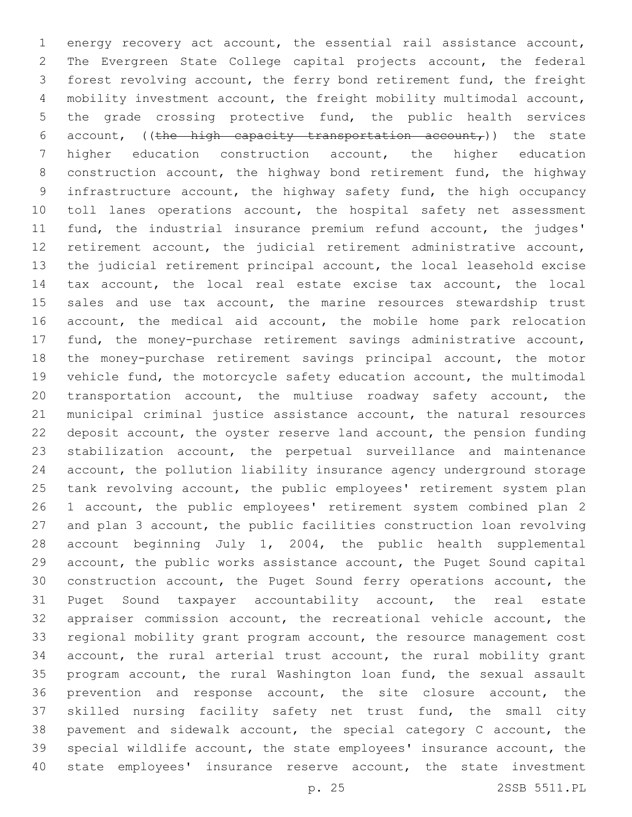energy recovery act account, the essential rail assistance account, The Evergreen State College capital projects account, the federal forest revolving account, the ferry bond retirement fund, the freight mobility investment account, the freight mobility multimodal account, the grade crossing protective fund, the public health services 6 account, ((the high capacity transportation account,)) the state higher education construction account, the higher education construction account, the highway bond retirement fund, the highway infrastructure account, the highway safety fund, the high occupancy 10 toll lanes operations account, the hospital safety net assessment 11 fund, the industrial insurance premium refund account, the judges' retirement account, the judicial retirement administrative account, the judicial retirement principal account, the local leasehold excise tax account, the local real estate excise tax account, the local 15 sales and use tax account, the marine resources stewardship trust 16 account, the medical aid account, the mobile home park relocation fund, the money-purchase retirement savings administrative account, the money-purchase retirement savings principal account, the motor vehicle fund, the motorcycle safety education account, the multimodal transportation account, the multiuse roadway safety account, the municipal criminal justice assistance account, the natural resources deposit account, the oyster reserve land account, the pension funding stabilization account, the perpetual surveillance and maintenance account, the pollution liability insurance agency underground storage tank revolving account, the public employees' retirement system plan 1 account, the public employees' retirement system combined plan 2 and plan 3 account, the public facilities construction loan revolving account beginning July 1, 2004, the public health supplemental account, the public works assistance account, the Puget Sound capital construction account, the Puget Sound ferry operations account, the Puget Sound taxpayer accountability account, the real estate appraiser commission account, the recreational vehicle account, the regional mobility grant program account, the resource management cost account, the rural arterial trust account, the rural mobility grant program account, the rural Washington loan fund, the sexual assault prevention and response account, the site closure account, the skilled nursing facility safety net trust fund, the small city pavement and sidewalk account, the special category C account, the special wildlife account, the state employees' insurance account, the state employees' insurance reserve account, the state investment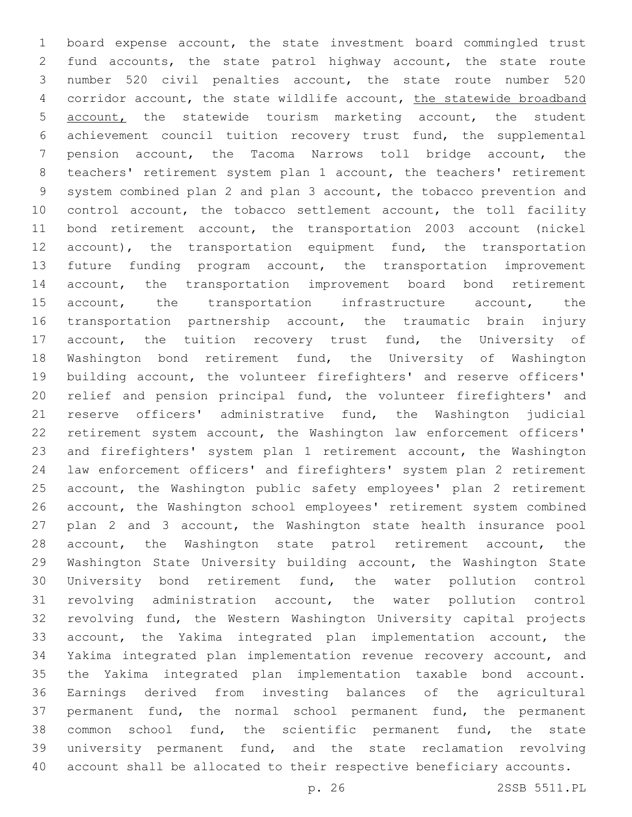board expense account, the state investment board commingled trust fund accounts, the state patrol highway account, the state route number 520 civil penalties account, the state route number 520 corridor account, the state wildlife account, the statewide broadband account, the statewide tourism marketing account, the student achievement council tuition recovery trust fund, the supplemental pension account, the Tacoma Narrows toll bridge account, the teachers' retirement system plan 1 account, the teachers' retirement system combined plan 2 and plan 3 account, the tobacco prevention and 10 control account, the tobacco settlement account, the toll facility bond retirement account, the transportation 2003 account (nickel 12 account), the transportation equipment fund, the transportation future funding program account, the transportation improvement account, the transportation improvement board bond retirement account, the transportation infrastructure account, the transportation partnership account, the traumatic brain injury 17 account, the tuition recovery trust fund, the University of Washington bond retirement fund, the University of Washington building account, the volunteer firefighters' and reserve officers' relief and pension principal fund, the volunteer firefighters' and reserve officers' administrative fund, the Washington judicial retirement system account, the Washington law enforcement officers' and firefighters' system plan 1 retirement account, the Washington law enforcement officers' and firefighters' system plan 2 retirement account, the Washington public safety employees' plan 2 retirement account, the Washington school employees' retirement system combined plan 2 and 3 account, the Washington state health insurance pool account, the Washington state patrol retirement account, the Washington State University building account, the Washington State University bond retirement fund, the water pollution control revolving administration account, the water pollution control revolving fund, the Western Washington University capital projects account, the Yakima integrated plan implementation account, the Yakima integrated plan implementation revenue recovery account, and the Yakima integrated plan implementation taxable bond account. Earnings derived from investing balances of the agricultural permanent fund, the normal school permanent fund, the permanent common school fund, the scientific permanent fund, the state university permanent fund, and the state reclamation revolving account shall be allocated to their respective beneficiary accounts.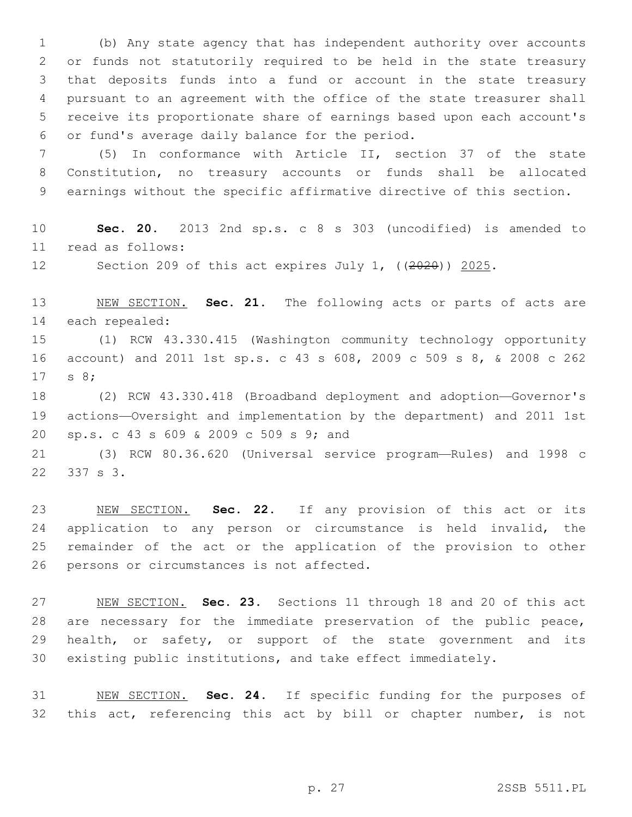(b) Any state agency that has independent authority over accounts or funds not statutorily required to be held in the state treasury that deposits funds into a fund or account in the state treasury pursuant to an agreement with the office of the state treasurer shall receive its proportionate share of earnings based upon each account's 6 or fund's average daily balance for the period.

 (5) In conformance with Article II, section 37 of the state Constitution, no treasury accounts or funds shall be allocated earnings without the specific affirmative directive of this section.

 **Sec. 20.** 2013 2nd sp.s. c 8 s 303 (uncodified) is amended to read as follows:11

Section 209 of this act expires July 1, ((2020)) 2025.

 NEW SECTION. **Sec. 21.** The following acts or parts of acts are each repealed:

 (1) RCW 43.330.415 (Washington community technology opportunity account) and 2011 1st sp.s. c 43 s 608, 2009 c 509 s 8, & 2008 c 262 17 s 8;

 (2) RCW 43.330.418 (Broadband deployment and adoption—Governor's actions—Oversight and implementation by the department) and 2011 1st 20 sp.s. c 43 s 609 & 2009 c 509 s 9; and

 (3) RCW 80.36.620 (Universal service program—Rules) and 1998 c 22 337 s 3.

 NEW SECTION. **Sec. 22.** If any provision of this act or its application to any person or circumstance is held invalid, the remainder of the act or the application of the provision to other persons or circumstances is not affected.

 NEW SECTION. **Sec. 23.** Sections 11 through 18 and 20 of this act are necessary for the immediate preservation of the public peace, health, or safety, or support of the state government and its existing public institutions, and take effect immediately.

 NEW SECTION. **Sec. 24.** If specific funding for the purposes of 32 this act, referencing this act by bill or chapter number, is not